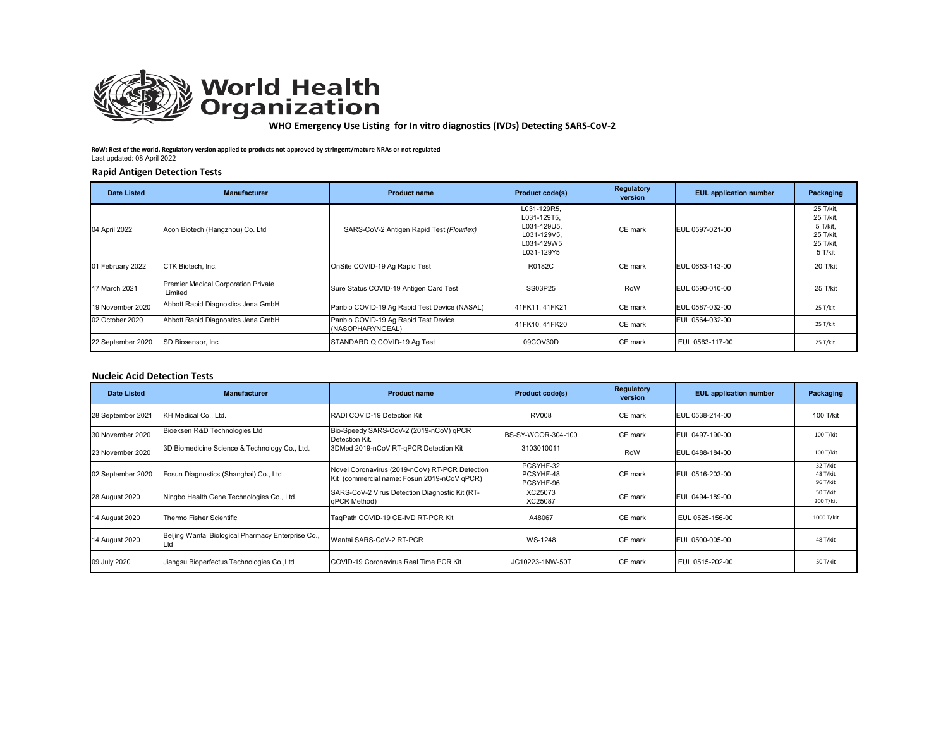

# **World Health**<br>**Organization**

**WHO Emergency Use Listing for In vitro diagnostics (IVDs) Detecting SARS‐CoV‐2** 

**RoW: Rest of the world. Regulatory version applied to products not approved by stringent/mature NRAs or not regulated** Last updated: 08 April 2022

## **Rapid Antigen Detection Tests**

| <b>Date Listed</b> | <b>Manufacturer</b>                            | <b>Product name</b>                                      | <b>Product code(s)</b>                                                               | Regulatory<br>version | <b>EUL</b> application number | Packaging                                                               |
|--------------------|------------------------------------------------|----------------------------------------------------------|--------------------------------------------------------------------------------------|-----------------------|-------------------------------|-------------------------------------------------------------------------|
| 04 April 2022      | Acon Biotech (Hangzhou) Co. Ltd                | SARS-CoV-2 Antigen Rapid Test (Flowflex)                 | L031-129R5,<br>L031-129T5.<br>L031-129U5.<br>L031-129V5.<br>L031-129W5<br>L031-129Y5 | CE mark               | EUL 0597-021-00               | 25 T/kit,<br>25 T/kit.<br>5 T/kit.<br>25 T/kit.<br>25 T/kit,<br>5 T/kit |
| 01 February 2022   | CTK Biotech. Inc.                              | OnSite COVID-19 Ag Rapid Test                            | R0182C                                                                               | CE mark               | EUL 0653-143-00               | 20 T/kit                                                                |
| 17 March 2021      | Premier Medical Corporation Private<br>Limited | Sure Status COVID-19 Antigen Card Test                   | SS03P25                                                                              | RoW                   | EUL 0590-010-00               | 25 T/kit                                                                |
| 19 November 2020   | Abbott Rapid Diagnostics Jena GmbH             | Panbio COVID-19 Ag Rapid Test Device (NASAL)             | 41FK11, 41FK21                                                                       | CE mark               | EUL 0587-032-00               | 25 T/kit                                                                |
| 02 October 2020    | Abbott Rapid Diagnostics Jena GmbH             | Panbio COVID-19 Ag Rapid Test Device<br>(NASOPHARYNGEAL) | 41FK10, 41FK20                                                                       | CE mark               | EUL 0564-032-00               | 25 T/kit                                                                |
| 22 September 2020  | SD Biosensor, Inc.                             | STANDARD Q COVID-19 Ag Test                              | 09COV30D                                                                             | CE mark               | EUL 0563-117-00               | 25 T/kit                                                                |

# **Nucleic Acid Detection Tests**

| Date Listed       | <b>Manufacturer</b>                                | <b>Product name</b>                                                                           | <b>Product code(s)</b>              | <b>Regulatory</b><br>version | <b>EUL</b> application number | Packaging                        |
|-------------------|----------------------------------------------------|-----------------------------------------------------------------------------------------------|-------------------------------------|------------------------------|-------------------------------|----------------------------------|
| 28 September 2021 | KH Medical Co., Ltd.                               | RADI COVID-19 Detection Kit                                                                   | <b>RV008</b>                        | CE mark                      | EUL 0538-214-00               | 100 T/kit                        |
| 30 November 2020  | Bioeksen R&D Technologies Ltd                      | Bio-Speedy SARS-CoV-2 (2019-nCoV) qPCR<br>Detection Kit.                                      | BS-SY-WCOR-304-100                  | CE mark                      | EUL 0497-190-00               | 100 T/kit                        |
| 23 November 2020  | 3D Biomedicine Science & Technology Co., Ltd.      | 3DMed 2019-nCoV RT-qPCR Detection Kit                                                         | 3103010011                          | RoW                          | EUL 0488-184-00               | 100 T/kit                        |
| 02 September 2020 | Fosun Diagnostics (Shanghai) Co., Ltd.             | Novel Coronavirus (2019-nCoV) RT-PCR Detection<br>Kit (commercial name: Fosun 2019-nCoV qPCR) | PCSYHF-32<br>PCSYHF-48<br>PCSYHF-96 | CE mark                      | EUL 0516-203-00               | 32 T/kit<br>48 T/kit<br>96 T/kit |
| 28 August 2020    | Ningbo Health Gene Technologies Co., Ltd.          | SARS-CoV-2 Virus Detection Diagnostic Kit (RT-<br>aPCR Method)                                | XC25073<br>XC25087                  | CE mark                      | EUL 0494-189-00               | 50 T/kit<br>200 T/kit            |
| 14 August 2020    | Thermo Fisher Scientific                           | TaqPath COVID-19 CE-IVD RT-PCR Kit                                                            | A48067                              | CE mark                      | EUL 0525-156-00               | 1000 T/kit                       |
| 14 August 2020    | Beijing Wantai Biological Pharmacy Enterprise Co., | Wantai SARS-CoV-2 RT-PCR                                                                      | WS-1248                             | CE mark                      | EUL 0500-005-00               | 48 T/kit                         |
| 09 July 2020      | Jiangsu Bioperfectus Technologies Co., Ltd         | COVID-19 Coronavirus Real Time PCR Kit                                                        | JC10223-1NW-50T                     | CE mark                      | EUL 0515-202-00               | 50 T/kit                         |